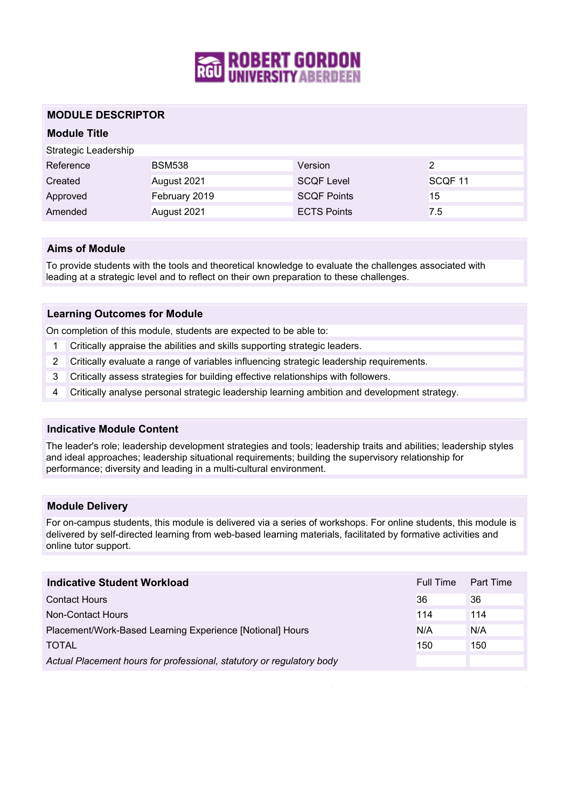

## **MODULE DESCRIPTOR**

# **Module Title** Strategic Leadership Reference BSM538 Version 2 Created August 2021 SCQF Level SCQF 11 Approved February 2019 SCQF Points 15 Amended August 2021 **ECTS Points** 7.5

### **Aims of Module**

To provide students with the tools and theoretical knowledge to evaluate the challenges associated with leading at a strategic level and to reflect on their own preparation to these challenges.

#### **Learning Outcomes for Module**

On completion of this module, students are expected to be able to:

- 1 Critically appraise the abilities and skills supporting strategic leaders.
- 2 Critically evaluate a range of variables influencing strategic leadership requirements.
- 3 Critically assess strategies for building effective relationships with followers.
- 4 Critically analyse personal strategic leadership learning ambition and development strategy.

#### **Indicative Module Content**

The leader's role; leadership development strategies and tools; leadership traits and abilities; leadership styles and ideal approaches; leadership situational requirements; building the supervisory relationship for performance; diversity and leading in a multi-cultural environment.

#### **Module Delivery**

For on-campus students, this module is delivered via a series of workshops. For online students, this module is delivered by self-directed learning from web-based learning materials, facilitated by formative activities and online tutor support.

| Indicative Student Workload                                           | Full Time | Part Time |
|-----------------------------------------------------------------------|-----------|-----------|
| <b>Contact Hours</b>                                                  | 36        | 36        |
| Non-Contact Hours                                                     | 114       | 114       |
| Placement/Work-Based Learning Experience [Notional] Hours             | N/A       | N/A       |
| <b>TOTAL</b>                                                          | 150       | 150       |
| Actual Placement hours for professional, statutory or regulatory body |           |           |